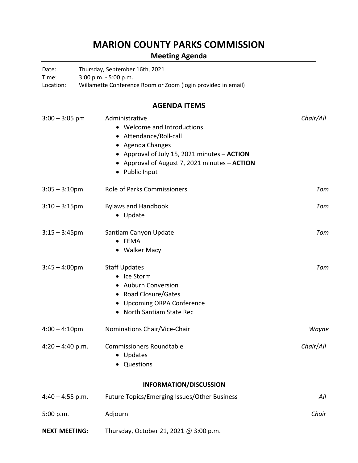## **MARION COUNTY PARKS COMMISSION**

## **Meeting Agenda**

| Date:<br>Time:<br>Location: | Thursday, September 16th, 2021<br>3:00 p.m. - 5:00 p.m.<br>Willamette Conference Room or Zoom (login provided in email)                                                                                        |           |
|-----------------------------|----------------------------------------------------------------------------------------------------------------------------------------------------------------------------------------------------------------|-----------|
|                             | <b>AGENDA ITEMS</b>                                                                                                                                                                                            |           |
| $3:00 - 3:05$ pm            | Administrative<br>• Welcome and Introductions<br>• Attendance/Roll-call<br>• Agenda Changes<br>• Approval of July 15, 2021 minutes - ACTION<br>• Approval of August 7, 2021 minutes - ACTION<br>• Public Input | Chair/All |
| $3:05 - 3:10$ pm            | <b>Role of Parks Commissioners</b>                                                                                                                                                                             | Tom       |
| $3:10-3:15$ pm              | <b>Bylaws and Handbook</b><br>• Update                                                                                                                                                                         | Tom       |
| $3:15 - 3:45$ pm            | Santiam Canyon Update<br>• FEMA<br>• Walker Macy                                                                                                                                                               | Tom       |
| $3:45 - 4:00 \text{pm}$     | <b>Staff Updates</b><br>• Ice Storm<br>• Auburn Conversion<br>• Road Closure/Gates<br>• Upcoming ORPA Conference<br>North Santiam State Rec                                                                    | Tom       |
| $4:00 - 4:10$ pm            | Nominations Chair/Vice-Chair                                                                                                                                                                                   | Wayne     |
| $4:20 - 4:40$ p.m.          | <b>Commissioners Roundtable</b><br>• Updates<br>• Questions                                                                                                                                                    | Chair/All |
|                             | <b>INFORMATION/DISCUSSION</b>                                                                                                                                                                                  |           |
| $4:40 - 4:55$ p.m.          | Future Topics/Emerging Issues/Other Business                                                                                                                                                                   | All       |
| 5:00 p.m.                   | Adjourn                                                                                                                                                                                                        | Chair     |
| <b>NEXT MEETING:</b>        | Thursday, October 21, 2021 @ 3:00 p.m.                                                                                                                                                                         |           |